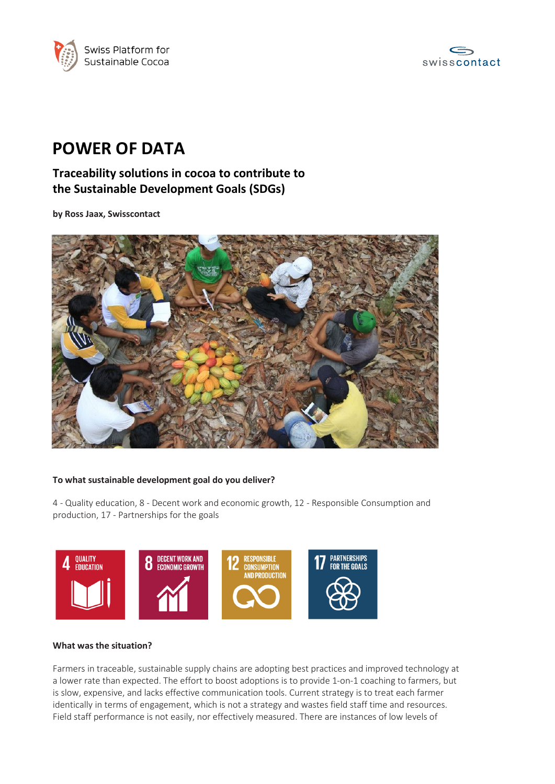



# **POWER OF DATA**

## **Traceability solutions in cocoa to contribute to the Sustainable Development Goals (SDGs)**

**by Ross Jaax, Swisscontact**



#### **To what sustainable development goal do you deliver?**

4 - Quality education, 8 - Decent work and economic growth, 12 - Responsible Consumption and production, 17 - Partnerships for the goals



#### **What was the situation?**

Farmers in traceable, sustainable supply chains are adopting best practices and improved technology at a lower rate than expected. The effort to boost adoptions is to provide 1-on-1 coaching to farmers, but is slow, expensive, and lacks effective communication tools. Current strategy is to treat each farmer identically in terms of engagement, which is not a strategy and wastes field staff time and resources. Field staff performance is not easily, nor effectively measured. There are instances of low levels of